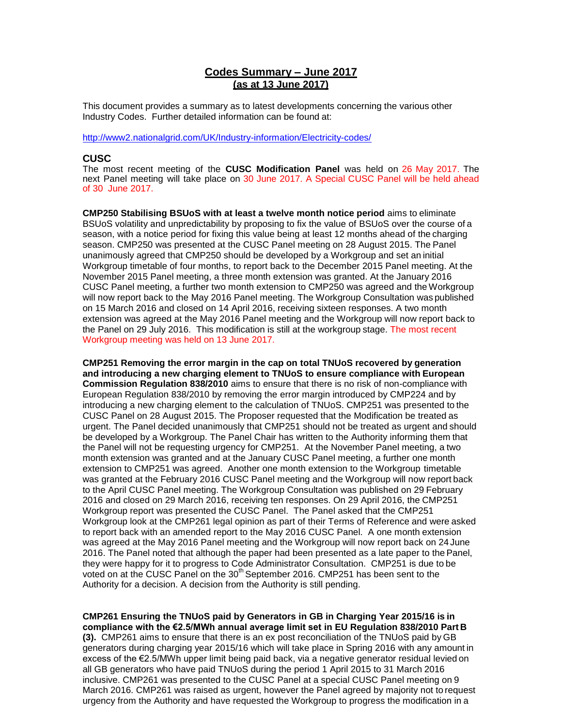## **Codes Summary – June 2017 (as at 13 June 2017)**

This document provides a summary as to latest developments concerning the various other Industry Codes. Further detailed information can be found at:

<http://www2.nationalgrid.com/UK/Industry-information/Electricity-codes/>

### **CUSC**

The most recent meeting of the **CUSC Modification Panel** was held on 26 May 2017. The next Panel meeting will take place on 30 June 2017. A Special CUSC Panel will be held ahead of 30 June 2017.

**CMP250 Stabilising BSUoS with at least a twelve month notice period** aims to eliminate BSUoS volatility and unpredictability by proposing to fix the value of BSUoS over the course of a season, with a notice period for fixing this value being at least 12 months ahead of the charging season. CMP250 was presented at the CUSC Panel meeting on 28 August 2015. The Panel unanimously agreed that CMP250 should be developed by a Workgroup and set an initial Workgroup timetable of four months, to report back to the December 2015 Panel meeting. At the November 2015 Panel meeting, a three month extension was granted. At the January 2016 CUSC Panel meeting, a further two month extension to CMP250 was agreed and the Workgroup will now report back to the May 2016 Panel meeting. The Workgroup Consultation was published on 15 March 2016 and closed on 14 April 2016, receiving sixteen responses. A two month extension was agreed at the May 2016 Panel meeting and the Workgroup will now report back to the Panel on 29 July 2016. This modification is still at the workgroup stage. The most recent Workgroup meeting was held on 13 June 2017.

**CMP251 Removing the error margin in the cap on total TNUoS recovered by generation and introducing a new charging element to TNUoS to ensure compliance with European Commission Regulation 838/2010** aims to ensure that there is no risk of non-compliance with European Regulation 838/2010 by removing the error margin introduced by CMP224 and by introducing a new charging element to the calculation of TNUoS. CMP251 was presented to the CUSC Panel on 28 August 2015. The Proposer requested that the Modification be treated as urgent. The Panel decided unanimously that CMP251 should not be treated as urgent and should be developed by a Workgroup. The Panel Chair has written to the Authority informing them that the Panel will not be requesting urgency for CMP251. At the November Panel meeting, a two month extension was granted and at the January CUSC Panel meeting, a further one month extension to CMP251 was agreed. Another one month extension to the Workgroup timetable was granted at the February 2016 CUSC Panel meeting and the Workgroup will now report back to the April CUSC Panel meeting. The Workgroup Consultation was published on 29 February 2016 and closed on 29 March 2016, receiving ten responses. On 29 April 2016, the CMP251 Workgroup report was presented the CUSC Panel. The Panel asked that the CMP251 Workgroup look at the CMP261 legal opinion as part of their Terms of Reference and were asked to report back with an amended report to the May 2016 CUSC Panel. A one month extension was agreed at the May 2016 Panel meeting and the Workgroup will now report back on 24 June 2016. The Panel noted that although the paper had been presented as a late paper to the Panel, they were happy for it to progress to Code Administrator Consultation. CMP251 is due to be voted on at the CUSC Panel on the  $30<sup>th</sup>$  September 2016. CMP251 has been sent to the Authority for a decision. A decision from the Authority is still pending.

**CMP261 Ensuring the TNUoS paid by Generators in GB in Charging Year 2015/16 is in compliance with the €2.5/MWh annual average limit set in EU Regulation 838/2010 Part B (3).** CMP261 aims to ensure that there is an ex post reconciliation of the TNUoS paid by GB generators during charging year 2015/16 which will take place in Spring 2016 with any amount in excess of the €2.5/MWh upper limit being paid back, via a negative generator residual levied on all GB generators who have paid TNUoS during the period 1 April 2015 to 31 March 2016 inclusive. CMP261 was presented to the CUSC Panel at a special CUSC Panel meeting on 9 March 2016. CMP261 was raised as urgent, however the Panel agreed by majority not to request urgency from the Authority and have requested the Workgroup to progress the modification in a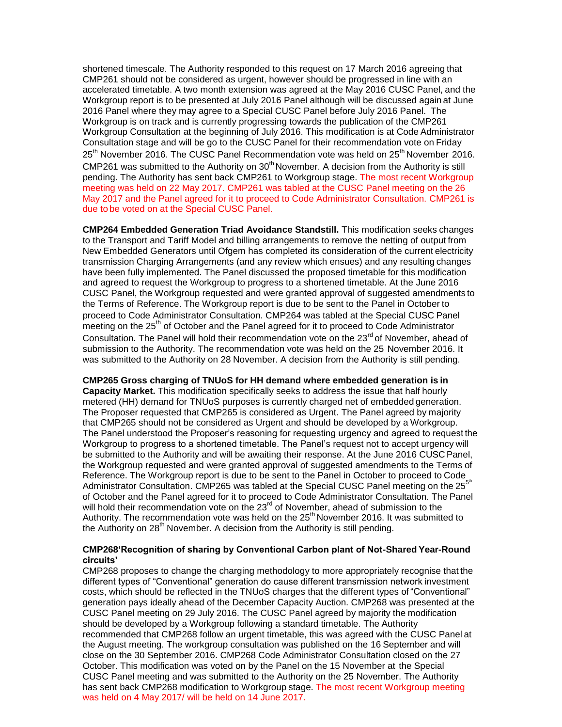shortened timescale. The Authority responded to this request on 17 March 2016 agreeing that CMP261 should not be considered as urgent, however should be progressed in line with an accelerated timetable. A two month extension was agreed at the May 2016 CUSC Panel, and the Workgroup report is to be presented at July 2016 Panel although will be discussed again at June 2016 Panel where they may agree to a Special CUSC Panel before July 2016 Panel. The Workgroup is on track and is currently progressing towards the publication of the CMP261 Workgroup Consultation at the beginning of July 2016. This modification is at Code Administrator Consultation stage and will be go to the CUSC Panel for their recommendation vote on Friday 25<sup>th</sup> November 2016. The CUSC Panel Recommendation vote was held on 25<sup>th</sup> November 2016. CMP261 was submitted to the Authority on  $30<sup>th</sup>$  November. A decision from the Authority is still pending. The Authority has sent back CMP261 to Workgroup stage. The most recent Workgroup meeting was held on 22 May 2017. CMP261 was tabled at the CUSC Panel meeting on the 26 May 2017 and the Panel agreed for it to proceed to Code Administrator Consultation. CMP261 is due to be voted on at the Special CUSC Panel.

**CMP264 Embedded Generation Triad Avoidance Standstill.** This modification seeks changes to the Transport and Tariff Model and billing arrangements to remove the netting of output from New Embedded Generators until Ofgem has completed its consideration of the current electricity transmission Charging Arrangements (and any review which ensues) and any resulting changes have been fully implemented. The Panel discussed the proposed timetable for this modification and agreed to request the Workgroup to progress to a shortened timetable. At the June 2016 CUSC Panel, the Workgroup requested and were granted approval of suggested amendments to the Terms of Reference. The Workgroup report is due to be sent to the Panel in October to proceed to Code Administrator Consultation. CMP264 was tabled at the Special CUSC Panel meeting on the  $25<sup>th</sup>$  of October and the Panel agreed for it to proceed to Code Administrator Consultation. The Panel will hold their recommendation vote on the 23<sup>rd</sup> of November, ahead of submission to the Authority. The recommendation vote was held on the 25 November 2016. It was submitted to the Authority on 28 November. A decision from the Authority is still pending.

**CMP265 Gross charging of TNUoS for HH demand where embedded generation is in**

**Capacity Market.** This modification specifically seeks to address the issue that half hourly metered (HH) demand for TNUoS purposes is currently charged net of embedded generation. The Proposer requested that CMP265 is considered as Urgent. The Panel agreed by majority that CMP265 should not be considered as Urgent and should be developed by a Workgroup. The Panel understood the Proposer's reasoning for requesting urgency and agreed to request the Workgroup to progress to a shortened timetable. The Panel's request not to accept urgency will be submitted to the Authority and will be awaiting their response. At the June 2016 CUSC Panel, the Workgroup requested and were granted approval of suggested amendments to the Terms of Reference. The Workgroup report is due to be sent to the Panel in October to proceed to Code Administrator Consultation. CMP265 was tabled at the Special CUSC Panel meeting on the  $25<sup>5</sup>$ th of October and the Panel agreed for it to proceed to Code Administrator Consultation. The Panel will hold their recommendation vote on the 23<sup>rd</sup> of November, ahead of submission to the Authority. The recommendation vote was held on the  $25<sup>th</sup>$  November 2016. It was submitted to the Authority on  $28<sup>th</sup>$  November. A decision from the Authority is still pending.

#### **CMP268'Recognition of sharing by Conventional Carbon plant of Not-Shared Year-Round circuits'**

CMP268 proposes to change the charging methodology to more appropriately recognise that the different types of "Conventional" generation do cause different transmission network investment costs, which should be reflected in the TNUoS charges that the different types of "Conventional" generation pays ideally ahead of the December Capacity Auction. CMP268 was presented at the CUSC Panel meeting on 29 July 2016. The CUSC Panel agreed by majority the modification should be developed by a Workgroup following a standard timetable. The Authority recommended that CMP268 follow an urgent timetable, this was agreed with the CUSC Panel at the August meeting. The workgroup consultation was published on the 16 September and will close on the 30 September 2016. CMP268 Code Administrator Consultation closed on the 27 October. This modification was voted on by the Panel on the 15 November at the Special CUSC Panel meeting and was submitted to the Authority on the 25 November. The Authority has sent back CMP268 modification to Workgroup stage. The most recent Workgroup meeting was held on 4 May 2017/ will be held on 14 June 2017.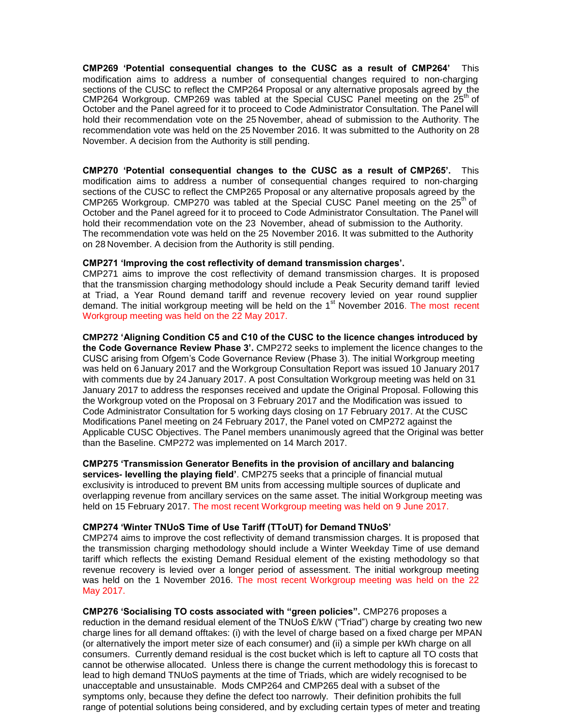**CMP269 'Potential consequential changes to the CUSC as a result of CMP264'** This modification aims to address a number of consequential changes required to non-charging sections of the CUSC to reflect the CMP264 Proposal or any alternative proposals agreed by the CMP264 Workgroup. CMP269 was tabled at the Special CUSC Panel meeting on the  $25<sup>tn</sup>$  of October and the Panel agreed for it to proceed to Code Administrator Consultation. The Panel will hold their recommendation vote on the 25 November, ahead of submission to the Authority. The recommendation vote was held on the 25 November 2016. It was submitted to the Authority on 28 November. A decision from the Authority is still pending.

**CMP270 'Potential consequential changes to the CUSC as a result of CMP265'.** This modification aims to address a number of consequential changes required to non-charging sections of the CUSC to reflect the CMP265 Proposal or any alternative proposals agreed by the CMP265 Workgroup. CMP270 was tabled at the Special CUSC Panel meeting on the  $25<sup>th</sup>$  of October and the Panel agreed for it to proceed to Code Administrator Consultation. The Panel will hold their recommendation vote on the 23 November, ahead of submission to the Authority. The recommendation vote was held on the 25 November 2016. It was submitted to the Authority on 28 November. A decision from the Authority is still pending.

#### **CMP271 'Improving the cost reflectivity of demand transmission charges'.**

CMP271 aims to improve the cost reflectivity of demand transmission charges. It is proposed that the transmission charging methodology should include a Peak Security demand tariff levied at Triad, a Year Round demand tariff and revenue recovery levied on year round supplier demand. The initial workgroup meeting will be held on the  $1<sup>st</sup>$  November 2016. The most recent Workgroup meeting was held on the 22 May 2017.

**CMP272 'Aligning Condition C5 and C10 of the CUSC to the licence changes introduced by the Code Governance Review Phase 3'.** CMP272 seeks to implement the licence changes to the CUSC arising from Ofgem's Code Governance Review (Phase 3). The initial Workgroup meeting was held on 6 January 2017 and the Workgroup Consultation Report was issued 10 January 2017 with comments due by 24 January 2017. A post Consultation Workgroup meeting was held on 31 January 2017 to address the responses received and update the Original Proposal. Following this the Workgroup voted on the Proposal on 3 February 2017 and the Modification was issued to Code Administrator Consultation for 5 working days closing on 17 February 2017. At the CUSC Modifications Panel meeting on 24 February 2017, the Panel voted on CMP272 against the Applicable CUSC Objectives. The Panel members unanimously agreed that the Original was better than the Baseline. CMP272 was implemented on 14 March 2017.

#### **CMP275 'Transmission Generator Benefits in the provision of ancillary and balancing**

**services- levelling the playing field'**. CMP275 seeks that a principle of financial mutual exclusivity is introduced to prevent BM units from accessing multiple sources of duplicate and overlapping revenue from ancillary services on the same asset. The initial Workgroup meeting was held on 15 February 2017. The most recent Workgroup meeting was held on 9 June 2017.

#### **CMP274 'Winter TNUoS Time of Use Tariff (TToUT) for Demand TNUoS'**

CMP274 aims to improve the cost reflectivity of demand transmission charges. It is proposed that the transmission charging methodology should include a Winter Weekday Time of use demand tariff which reflects the existing Demand Residual element of the existing methodology so that revenue recovery is levied over a longer period of assessment. The initial workgroup meeting was held on the 1 November 2016. The most recent Workgroup meeting was held on the 22 May 2017.

**CMP276 'Socialising TO costs associated with "green policies".** CMP276 proposes a reduction in the demand residual element of the TNUoS £/kW ("Triad") charge by creating two new charge lines for all demand offtakes: (i) with the level of charge based on a fixed charge per MPAN (or alternatively the import meter size of each consumer) and (ii) a simple per kWh charge on all consumers. Currently demand residual is the cost bucket which is left to capture all TO costs that cannot be otherwise allocated. Unless there is change the current methodology this is forecast to lead to high demand TNUoS payments at the time of Triads, which are widely recognised to be unacceptable and unsustainable. Mods CMP264 and CMP265 deal with a subset of the symptoms only, because they define the defect too narrowly. Their definition prohibits the full range of potential solutions being considered, and by excluding certain types of meter and treating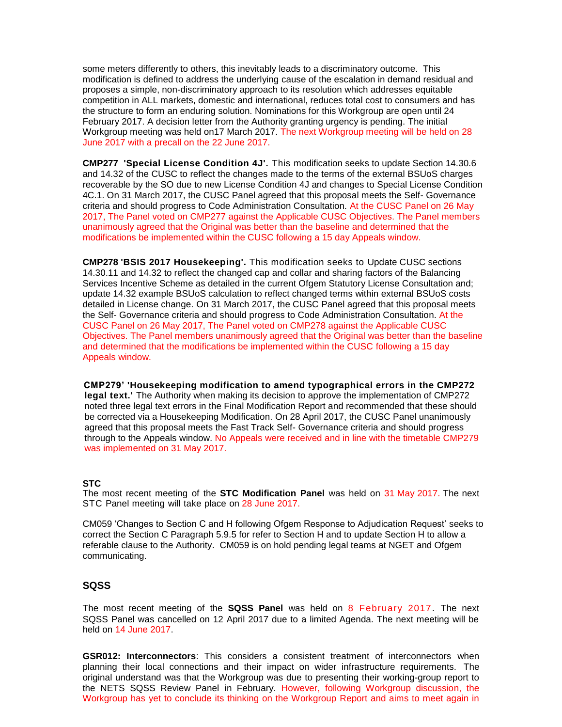some meters differently to others, this inevitably leads to a discriminatory outcome. This modification is defined to address the underlying cause of the escalation in demand residual and proposes a simple, non-discriminatory approach to its resolution which addresses equitable competition in ALL markets, domestic and international, reduces total cost to consumers and has the structure to form an enduring solution. Nominations for this Workgroup are open until 24 February 2017. A decision letter from the Authority granting urgency is pending. The initial Workgroup meeting was held on17 March 2017. The next Workgroup meeting will be held on 28 June 2017 with a precall on the 22 June 2017.

**CMP277 'Special License Condition 4J'.** This modification seeks to update Section 14.30.6 and 14.32 of the CUSC to reflect the changes made to the terms of the external BSUoS charges recoverable by the SO due to new License Condition 4J and changes to Special License Condition 4C.1. On 31 March 2017, the CUSC Panel agreed that this proposal meets the Self- Governance criteria and should progress to Code Administration Consultation. At the CUSC Panel on 26 May 2017, The Panel voted on CMP277 against the Applicable CUSC Objectives. The Panel members unanimously agreed that the Original was better than the baseline and determined that the modifications be implemented within the CUSC following a 15 day Appeals window.

**CMP278 'BSIS 2017 Housekeeping'.** This modification seeks to Update CUSC sections 14.30.11 and 14.32 to reflect the changed cap and collar and sharing factors of the Balancing Services Incentive Scheme as detailed in the current Ofgem Statutory License Consultation and; update 14.32 example BSUoS calculation to reflect changed terms within external BSUoS costs detailed in License change. On 31 March 2017, the CUSC Panel agreed that this proposal meets the Self- Governance criteria and should progress to Code Administration Consultation. At the CUSC Panel on 26 May 2017, The Panel voted on CMP278 against the Applicable CUSC Objectives. The Panel members unanimously agreed that the Original was better than the baseline and determined that the modifications be implemented within the CUSC following a 15 day Appeals window.

 **CMP279' 'Housekeeping modification to amend typographical errors in the CMP272 legal text.'** The Authority when making its decision to approve the implementation of CMP272 noted three legal text errors in the Final Modification Report and recommended that these should be corrected via a Housekeeping Modification. On 28 April 2017, the CUSC Panel unanimously agreed that this proposal meets the Fast Track Self- Governance criteria and should progress through to the Appeals window. No Appeals were received and in line with the timetable CMP279 was implemented on 31 May 2017.

#### **STC**

The most recent meeting of the **STC Modification Panel** was held on 31 May 2017. The next STC Panel meeting will take place on 28 June 2017.

CM059 'Changes to Section C and H following Ofgem Response to Adjudication Request' seeks to correct the Section C Paragraph 5.9.5 for refer to Section H and to update Section H to allow a referable clause to the Authority. CM059 is on hold pending legal teams at NGET and Ofgem communicating.

### **SQSS**

The most recent meeting of the **SQSS Panel** was held on 8 February 2017. The next SQSS Panel was cancelled on 12 April 2017 due to a limited Agenda. The next meeting will be held on 14 June 2017.

**GSR012: Interconnectors**: This considers a consistent treatment of interconnectors when planning their local connections and their impact on wider infrastructure requirements. The original understand was that the Workgroup was due to presenting their working-group report to the NETS SQSS Review Panel in February. However, following Workgroup discussion, the Workgroup has yet to conclude its thinking on the Workgroup Report and aims to meet again in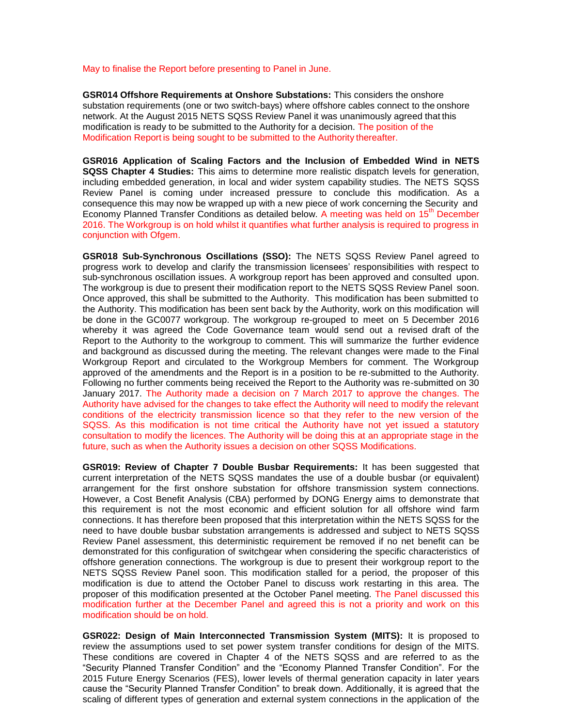#### May to finalise the Report before presenting to Panel in June.

**GSR014 Offshore Requirements at Onshore Substations:** This considers the onshore substation requirements (one or two switch-bays) where offshore cables connect to the onshore network. At the August 2015 NETS SQSS Review Panel it was unanimously agreed that this modification is ready to be submitted to the Authority for a decision. The position of the Modification Report is being sought to be submitted to the Authority thereafter.

**GSR016 Application of Scaling Factors and the Inclusion of Embedded Wind in NETS SQSS Chapter 4 Studies:** This aims to determine more realistic dispatch levels for generation, including embedded generation, in local and wider system capability studies. The NETS SQSS Review Panel is coming under increased pressure to conclude this modification. As a consequence this may now be wrapped up with a new piece of work concerning the Security and Economy Planned Transfer Conditions as detailed below. A meeting was held on 15<sup>th</sup> December 2016. The Workgroup is on hold whilst it quantifies what further analysis is required to progress in conjunction with Ofgem.

**GSR018 Sub-Synchronous Oscillations (SSO):** The NETS SQSS Review Panel agreed to progress work to develop and clarify the transmission licensees' responsibilities with respect to sub-synchronous oscillation issues. A workgroup report has been approved and consulted upon. The workgroup is due to present their modification report to the NETS SQSS Review Panel soon. Once approved, this shall be submitted to the Authority. This modification has been submitted to the Authority. This modification has been sent back by the Authority, work on this modification will be done in the GC0077 workgroup. The workgroup re-grouped to meet on 5 December 2016 whereby it was agreed the Code Governance team would send out a revised draft of the Report to the Authority to the workgroup to comment. This will summarize the further evidence and background as discussed during the meeting. The relevant changes were made to the Final Workgroup Report and circulated to the Workgroup Members for comment. The Workgroup approved of the amendments and the Report is in a position to be re-submitted to the Authority. Following no further comments being received the Report to the Authority was re-submitted on 30 January 2017. The Authority made a decision on 7 March 2017 to approve the changes. The Authority have advised for the changes to take effect the Authority will need to modify the relevant conditions of the electricity transmission licence so that they refer to the new version of the SQSS. As this modification is not time critical the Authority have not yet issued a statutory consultation to modify the licences. The Authority will be doing this at an appropriate stage in the future, such as when the Authority issues a decision on other SQSS Modifications.

**GSR019: Review of Chapter 7 Double Busbar Requirements:** It has been suggested that current interpretation of the NETS SQSS mandates the use of a double busbar (or equivalent) arrangement for the first onshore substation for offshore transmission system connections. However, a Cost Benefit Analysis (CBA) performed by DONG Energy aims to demonstrate that this requirement is not the most economic and efficient solution for all offshore wind farm connections. It has therefore been proposed that this interpretation within the NETS SQSS for the need to have double busbar substation arrangements is addressed and subject to NETS SQSS Review Panel assessment, this deterministic requirement be removed if no net benefit can be demonstrated for this configuration of switchgear when considering the specific characteristics of offshore generation connections. The workgroup is due to present their workgroup report to the NETS SQSS Review Panel soon. This modification stalled for a period, the proposer of this modification is due to attend the October Panel to discuss work restarting in this area. The proposer of this modification presented at the October Panel meeting. The Panel discussed this modification further at the December Panel and agreed this is not a priority and work on this modification should be on hold.

**GSR022: Design of Main Interconnected Transmission System (MITS):** It is proposed to review the assumptions used to set power system transfer conditions for design of the MITS. These conditions are covered in Chapter 4 of the NETS SQSS and are referred to as the "Security Planned Transfer Condition" and the "Economy Planned Transfer Condition". For the 2015 Future Energy Scenarios (FES), lower levels of thermal generation capacity in later years cause the "Security Planned Transfer Condition" to break down. Additionally, it is agreed that the scaling of different types of generation and external system connections in the application of the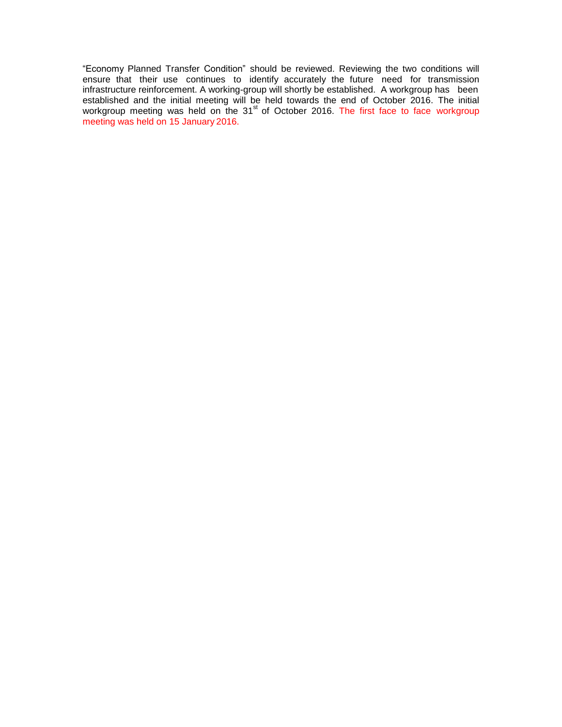"Economy Planned Transfer Condition" should be reviewed. Reviewing the two conditions will ensure that their use continues to identify accurately the future need for transmission infrastructure reinforcement. A working-group will shortly be established. A workgroup has been established and the initial meeting will be held towards the end of October 2016. The initial workgroup meeting was held on the 31<sup>st</sup> of October 2016. The first face to face workgroup meeting was held on 15 January 2016.